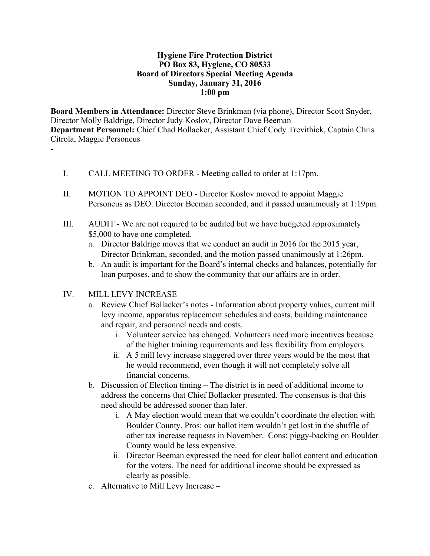## **Hygiene Fire Protection District PO Box 83, Hygiene, CO 80533 Board of Directors Special Meeting Agenda Sunday, January 31, 2016 1:00 pm**

**Board Members in Attendance:** Director Steve Brinkman (via phone), Director Scott Snyder, Director Molly Baldrige, Director Judy Koslov, Director Dave Beeman **Department Personnel:** Chief Chad Bollacker, Assistant Chief Cody Trevithick, Captain Chris Citrola, Maggie Personeus **-**

- I. CALL MEETING TO ORDER Meeting called to order at 1:17pm.
- II. MOTION TO APPOINT DEO Director Koslov moved to appoint Maggie Personeus as DEO. Director Beeman seconded, and it passed unanimously at 1:19pm.
- III. AUDIT We are not required to be audited but we have budgeted approximately \$5,000 to have one completed.
	- a. Director Baldrige moves that we conduct an audit in 2016 for the 2015 year, Director Brinkman, seconded, and the motion passed unanimously at 1:26pm.
	- b. An audit is important for the Board's internal checks and balances, potentially for loan purposes, and to show the community that our affairs are in order.
- IV. MILL LEVY INCREASE
	- a. Review Chief Bollacker's notes Information about property values, current mill levy income, apparatus replacement schedules and costs, building maintenance and repair, and personnel needs and costs.
		- i. Volunteer service has changed. Volunteers need more incentives because of the higher training requirements and less flexibility from employers.
		- ii. A 5 mill levy increase staggered over three years would be the most that he would recommend, even though it will not completely solve all financial concerns.
	- b. Discussion of Election timing The district is in need of additional income to address the concerns that Chief Bollacker presented. The consensus is that this need should be addressed sooner than later.
		- i. A May election would mean that we couldn't coordinate the election with Boulder County. Pros: our ballot item wouldn't get lost in the shuffle of other tax increase requests in November. Cons: piggy-backing on Boulder County would be less expensive.
		- ii. Director Beeman expressed the need for clear ballot content and education for the voters. The need for additional income should be expressed as clearly as possible.
	- c. Alternative to Mill Levy Increase –